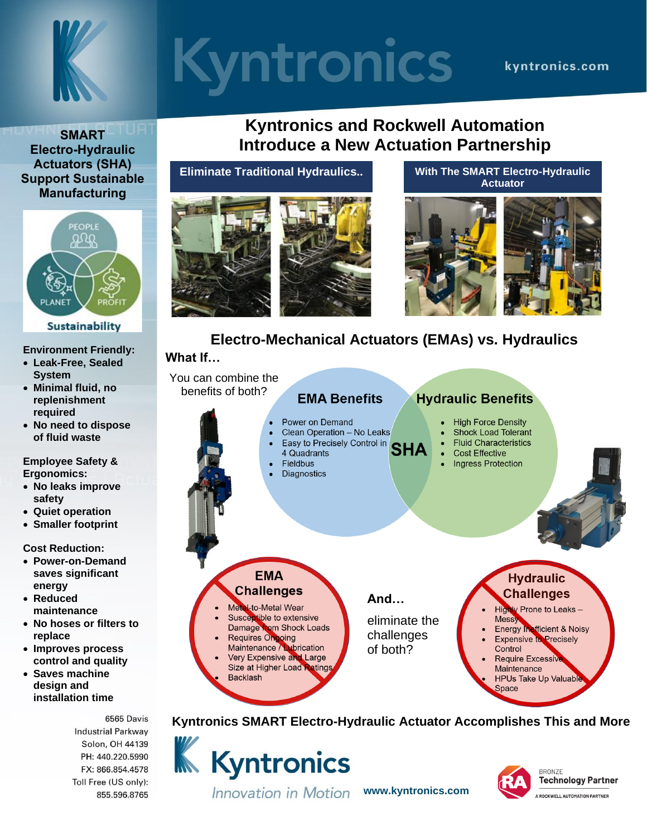

# **Kyntronics**

### kvntronics.com

**SMART Electro-Hydraulic Actuators (SHA) Support Sustainable Manufacturing**



#### **Environment Friendly:**

- **Leak-Free, Sealed System**
- **Minimal fluid, no replenishment required**
- **No need to dispose of fluid waste**

**Employee Safety & Ergonomics:**

- **No leaks improve safety**
- **Quiet operation**
- **Smaller footprint**

#### **Cost Reduction:**

- **Power-on-Demand saves significant energy**
- **Reduced maintenance**
- **No hoses or filters to replace**
- **Improves process control and quality**
- **Saves machine design and installation time**

6565 Davis **Industrial Parkway** Solon, OH 44139 PH: 440.220.5990 FX: 866.854.4578 Toll Free (US only): 855.596.8765

# **Kyntronics and Rockwell Automation Introduce a New Actuation Partnership**

**Eliminate Traditional Hydraulics..**





**With The SMART Electro-Hydraulic Actuator**



# **Electro-Mechanical Actuators (EMAs) vs. Hydraulics**

### **What If…**



**K** Kyntronics Innovation in Motion

**www.kyntronics.com**